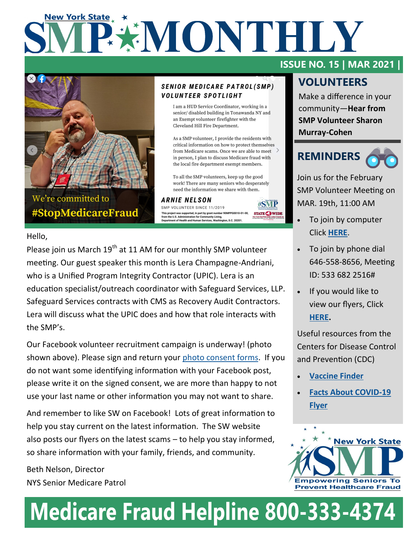# **New York State EXAMONTHILY**



We're committed to #StopMedicareFraud

#### **SENIOR MEDICARE PATROL(SMP) VOLUNTEER SPOTLIGHT**

I am a HUD Service Coordinator, working in a senior/disabled building in Tonawanda NY and an Exempt volunteer firefighter with the Cleveland Hill Fire Department.

As a SMP volunteer, I provide the residents with critical information on how to protect themselves from Medicare scams. Once we are able to meet  $\rightarrow$ in person, I plan to discuss Medicare fraud with the local fire department exempt members.

To all the SMP volunteers, keep up the good work! There are many seniors who desperately need the information we share with them.

**ARNIE NELSON** SMP VOLUNTEER SINCE 11/2019 This project was supported, in part by grant number 90MPPG0010-01-00,<br>from the U.S. Administration for Community Living,<br>Department of Health and Human Services, Washington, D.C. 20201.



#### Hello,

Please join us March  $19^{th}$  at 11 AM for our monthly SMP volunteer meeting. Our guest speaker this month is Lera Champagne-Andriani, who is a Unified Program Integrity Contractor (UPIC). Lera is an education specialist/outreach coordinator with Safeguard Services, LLP. Safeguard Services contracts with CMS as Recovery Audit Contractors. Lera will discuss what the UPIC does and how that role interacts with the SMP's.

Our Facebook volunteer recruitment campaign is underway! (photo shown above). Please sign and return your [photo consent forms.](https://www.dropbox.com/s/3m5q1aji5u7y78r/SW%20photo%20consent%20form.pdf?dl=0) If you do not want some identifying information with your Facebook post, please write it on the signed consent, we are more than happy to not use your last name or other information you may not want to share.

And remember to like SW on Facebook! Lots of great information to help you stay current on the latest information. The SW website also posts our flyers on the latest scams – to help you stay informed, so share information with your family, friends, and community.

Beth Nelson, Director NYS Senior Medicare Patrol

#### **ISSUE NO. 15 | MAR 2021 |**

### **VOLUNTEERS**

Make a difference in your community—**Hear from SMP Volunteer Sharon Murray-Cohen**

### **REMINDERS**

Join us for the February SMP Volunteer Meeting on MAR. 19th, 11:00 AM

- To join by computer Click **[HERE](https://us02web.zoom.us/j/5336822516)**.
- To join by phone dial 646-558-8656, Meeting ID: 533 682 2516#
- If you would like to view our flyers, Click **[HERE.](https://www.nysenior.org/senior-medicare-patrol/important-resources-and-links/)**

Useful resources from the Centers for Disease Control and Prevention (CDC)

- **[Vaccine Finder](https://vaccinefinder.org/search/)**
- **[Facts About COVID](https://www.cdc.gov/coronavirus/2019-ncov/downloads/vaccines/facts-covid-vaccines-english-508.pdf)-19 [Flyer](https://www.cdc.gov/coronavirus/2019-ncov/downloads/vaccines/facts-covid-vaccines-english-508.pdf)**



# **Medicare Fraud Helpline 800-333-4374**